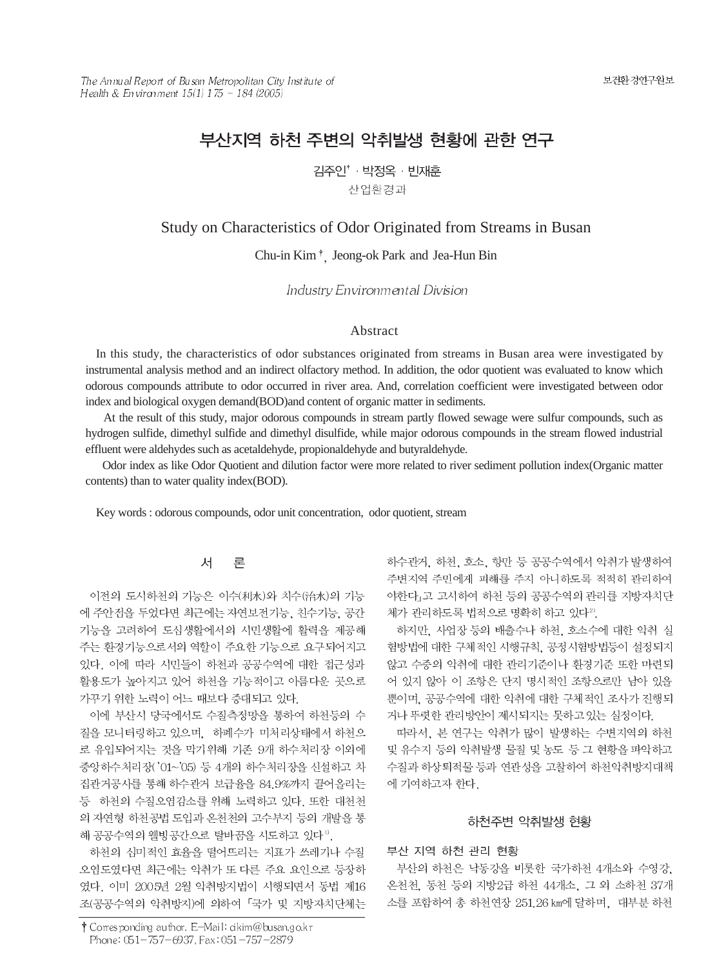# 부산지역 하천 주변의 악취발생 현황에 관한 연구

김주인<sup>\*</sup> · 박정옥 · 빈재훈

산업환경과

# Study on Characteristics of Odor Originated from Streams in Busan

Chu-in Kim<sup>+</sup>, Jeong-ok Park and Jea-Hun Bin

Industry Environmental Division

#### Abstract

In this study, the characteristics of odor substances originated from streams in Busan area were investigated by instrumental analysis method and an indirect olfactory method. In addition, the odor quotient was evaluated to know which odorous compounds attribute to odor occurred in river area. And, correlation coefficient were investigated between odor index and biological oxygen demand(BOD)and content of organic matter in sediments.

At the result of this study, major odorous compounds in stream partly flowed sewage were sulfur compounds, such as hydrogen sulfide, dimethyl sulfide and dimethyl disulfide, while major odorous compounds in the stream flowed industrial effluent were aldehydes such as acetaldehyde, propionaldehyde and butyraldehyde.

Odor index as like Odor Quotient and dilution factor were more related to river sediment pollution index(Organic matter contents) than to water quality index(BOD).

Key words : odorous compounds, odor unit concentration, odor quotient, stream

#### 对 론

이전의 도시하천의 기능은 이수(利水)와 치수(治水)의 기능 에 주안점을 두었다면 최근에는 자연보전기능, 친수기능, 공간 기능을 고려하여 도심생활에서의 시민생활에 활력을 제공해 주는 환경기능으로서의 역할이 주요한 기능으로 요구되어지고 있다. 이에 따라 시민들이 하천과 공공수역에 대한 접근성과 활용도가 높아지고 있어 하천을 기능적이고 아름다운 곳으로 가꾸기 위한 노력이 어느 때보다 증대되고 있다.

이에 부산시 당국에서도 수질측정망을 통하여 하천등의 수 질을 모니터링하고 있으며, 하폐수가 미처리상태에서 하천으 로 유입되어지는 것을 막기위해 기존 9개 하수처리장 이외에 중앙하수처리장('01~'05) 등 4개의 하수처리장을 신설하고 차 집관거공사를 통해 하수관거 보급율을 84.9%까지 끌어올리는 등 하천의 수질오염감소를 위해 노력하고 있다. 또한 대천천 의 자연형 하천공법 도입과 온천천의 고수부지 등의 개발을 통 해 공공수역의 웰빙공간으로 탈바꿈을 시도하고 있다".

하천의 심미적인 효율을 떨어뜨리는 지표가 쓰레기나 수질 오염도였다면 최근에는 악취가 또 다른 주요 요인으로 등장하 였다. 이미 2005년 2월 악취방지법이 시행되면서 동법 제16 조(공공수역의 악취방지)에 의하여 「국가 및 지방자치단체는 하수관거, 하천, 호소, 항만 등 공공수역에서 악취가 발생하여 주변지역 주민에게 피해를 주지 아니하도록 적적히 관리하여 야한다」고 고시하여 하천 등의 공공수역의 관리를 지방자치단 체가 관리하도록 법적으로 명확히 하고 있다2).

하지만, 사업장 등의 배출수나 하천, 호소수에 대한 악취 실 험방법에 대한 구체적인 시행규칙, 공정시험방법등이 설정되지 않고 수중의 악취에 대한 관리기준이나 환경기준 또한 마련되 어 있지 않아 이 조항은 단지 명시적인 조항으로만 남아 있을 뿐이며, 공공수역에 대한 악취에 대한 구체적인 조사가 진행되 거나 뚜렷한 관리방안이 제시되지는 못하고 있는 실정이다.

따라서, 본 연구는 악취가 많이 발생하는 수변지역의 하천 및 유수지 등의 악취발생 물질 및 농도 등 그 현황을 파악하고 수질과 하상퇴적물 등과 연관성을 고찰하여 하천악취방지대책 에 기여하고자 한다.

## 하천주변 악취발생 현황

#### 부산 지역 하천 관리 현황

부산의 하천은 낙동강을 비롯한 국가하천 4개소와 수영강. 온천천, 동천 등의 지방2급 하천 44개소, 그 외 소하천 37개 소를 포함하여 총 하천연장 251.26 km에 달하며, 대부분 하천

<sup>†</sup> Corresponding author. E-Mail: cikim@busan.go.kr Phone: 051-757-6937, Fax: 051-757-2879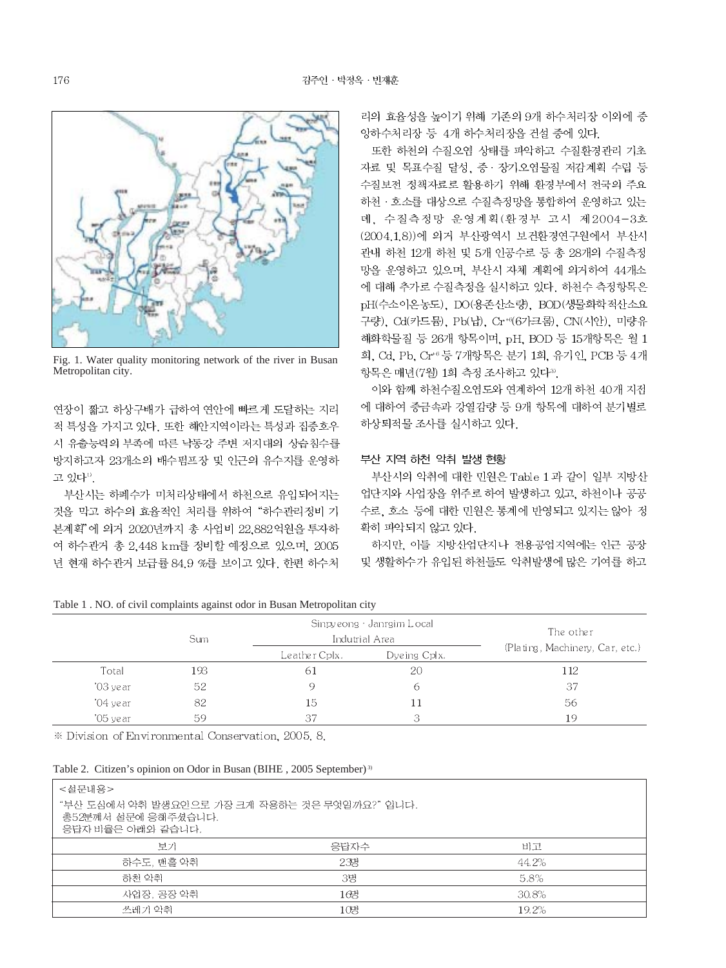

Fig. 1. Water quality monitoring network of the river in Busan Metropolitan city.

연장이 짧고 하상구배가 급하여 연안에 빠르게 도달하는 지리 적 특성을 가지고 있다. 또한 해안지역이라는 특성과 집중호우 시 유출능력의 부족에 따른 낙동강 주변 저지대의 상습침수를 방지하고자 23개소의 배수펌프장 및 인근의 유수지를 운영하 고 있다".

부산시는 하폐수가 미처리상태에서 하천으로 유입되어지는 것을 막고 하수의 효율적인 처리를 위하여 "하수관리정비 기 본계획"에 의거 2020년까지 총 사업비 22.882억원을 투자하 여 하수관거 총 2,448 km를 정비할 예정으로 있으며, 2005 년 현재 하수관거 보급률 84.9 %를 보이고 있다. 한편 하수처

리의 효율성을 높이기 위해 기존의 9개 하수처리장 이외에 중 앙하수처리장 등 4개 하수처리장을 건설 중에 있다.

또한 하천의 수질오염 상태를 파악하고 수질환경관리 기초 자료 및 목표수질 달성, 중 · 장기오염물질 저감계획 수립 등 수질보전 정책자료로 활용하기 위해 환경부에서 전국의 주요 하천 · 호소를 대상으로 수질측정망을 통합하여 운영하고 있는 데, 수질측정망 운영계획(환경부 고시 제2004-3호 (2004.1.8))에 의거 부산광역시 보건환경연구원에서 부산시 관내 하천 12개 하천 및 5개 인공수로 등 총 28개의 수질측정 망을 운영하고 있으며, 부산시 자체 계획에 의거하여 44개소 에 대해 추가로 수질측정을 실시하고 있다. 하천수 측정항목은 pH(수소이온농도), DO(용존산소량), BOD(생물화학적산소요 구량), Cd(카드뮴), Pb(납), Cr<sup>+</sup>(6가크롬), CN(시안), 미량유 해화학물질 등 26개 항목이며, pH, BOD 등 15개항목은 월 1 회, Cd, Pb, Cr<sup>+6</sup> 등 7개항목은 분기 1회, 유기인, PCB 등 4개 항목은 매년(7월) 1회 측정 조사하고 있다<sup>39</sup>.

이와 함께 하천수질오염도와 연계하여 12개 하천 40개 지점 에 대하여 중금속과 강열감량 등 9개 항목에 대하여 분기별로 하상퇴적물 조사를 실시하고 있다.

### 부산 지역 하천 악취 발생 현황

부산시의 악취에 대한 민원은 Table 1 과 같이 일부 지방산 업단지와 사업장을 위주로 하여 발생하고 있고, 하천이나 공공 수로, 호소 등에 대한 민원은 통계에 반영되고 있지는 않아 정 확히 파악되지 않고 있다.

하지만, 이들 지방산업단지나 전용공업지역에는 인근 공장 및 생활하수가 유입된 하천들도 악취발생에 많은 기여를 하고

Table 1. NO. of civil complaints against odor in Busan Metropolitan city

|          | Sum |                | Sinpy eong · Janrgim Local<br>Indutrial Area | The other                       |  |
|----------|-----|----------------|----------------------------------------------|---------------------------------|--|
|          |     | Le ather Cplx. | Dyeing Cplx.                                 | (Plating, Machinery, Car, etc.) |  |
| Total    | 193 | 61             | 20                                           | 112                             |  |
| '03 year | 52  |                | 6                                            | 37                              |  |
| '04 year | 82  | 15             | 11                                           | 56                              |  |
| '05 year | 59  | -37            | 3                                            | 19                              |  |

\* Division of Environmental Conservation, 2005, 8.

Table 2. Citizen's opinion on Odor in Busan (BIHE, 2005 September)<sup>3)</sup>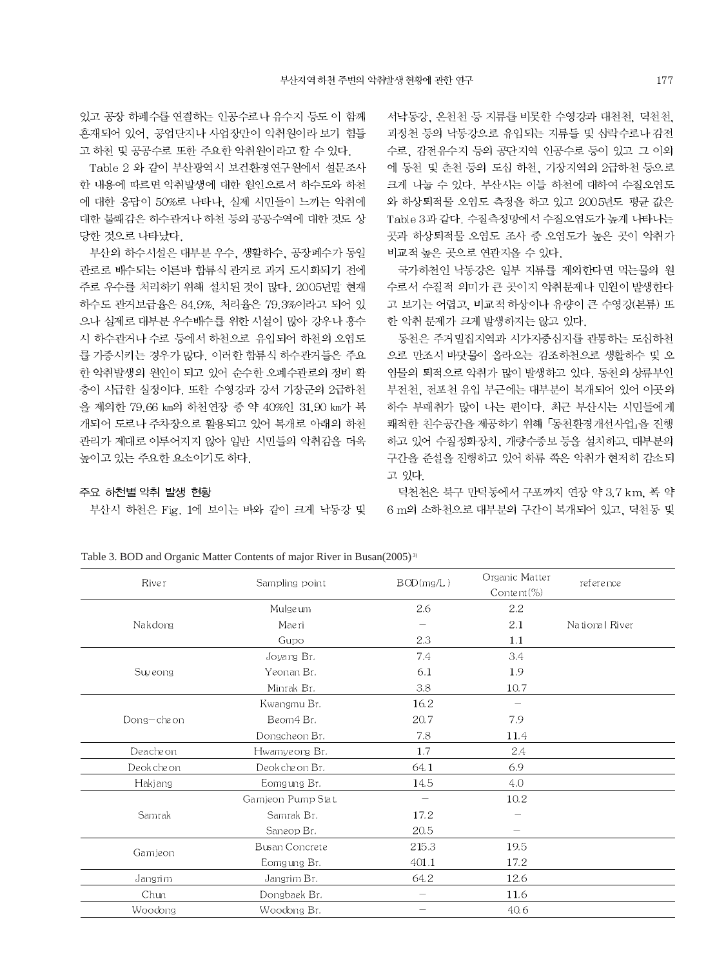있고 공장 하폐수를 연결하는 인공수로나 유수지 등도 이 함께 혼재되어 있어, 공업단지나 사업장만이 악취원이라 보기 힘들 고 하천 및 공공수로 또한 주요한 악취원이라고 할 수 있다.

Table 2 와 같이 부산광역시 보건환경연구원에서 설문조사 한 내용에 따르면 악취발생에 대한 원인으로서 하수도와 하천 에 대한 응답이 50%로 나타나. 실제 시민들이 느끼는 악취에 대한 불쾌감은 하수관거나 하천 등의 공공수역에 대한 것도 상 당한 것으로 나타났다.

부산의 하수시설은 대부분 우수, 생활하수, 공장폐수가 동일 관로로 배수되는 이른바 함류식 관거로 과거 도시화되기 전에 주로 우수를 처리하기 위해 설치된 것이 많다. 2005년말 현재 하수도 관거보급율은 84.9%, 처리율은 79.3%이라고 되어 있 으나 실제로 대부분 우수배수를 위한 시설이 많아 강우나 홍수 시 하수관거나 수로 등에서 하천으로 유입되어 하천의 오염도 를 가중시키는 경우가 많다. 이러한 합류식 하수관거들은 주요 한 악취발생의 원인이 되고 있어 순수한 오폐수관로의 정비 확 충이 시급한 실정이다. 또한 수영강과 강서 기장군의 2급하천 을 제외한 79.66 km의 하천연장 중 약 40%인 31.90 km가 복 개되어 도로나 주차장으로 활용되고 있어 복개로 아래의 하천 관리가 제대로 이루어지지 않아 일반 시민들의 악취감을 더욱 높이고 있는 주요한 요소이기도 하다.

#### 주요 하천별 악취 발생 현황

부산시 하천은 Fig. 1에 보이는 바와 같이 크게 낙동강 및

서낙동강, 온천천 등 지류를 비롯한 수영강과 대천천, 덕천천, 괴정천 등의 낙동강으로 유입되는 지류들 및 삼락수로나 감전 수로, 감전유수지 등의 공단지역 인공수로 등이 있고 그 이외 에 동천 및 춘천 등의 도심 하천, 기장지역의 2급하천 등으로 크게 나눌 수 있다. 부산시는 이들 하천에 대하여 수질오염도 와 하상퇴적물 오염도 측정을 하고 있고 2005년도 평균 값은 Table 3과 같다. 수질측정망에서 수질오염도가 높게 나타나는 곳과 하상퇴적물 오염도 조사 중 오염도가 높은 곳이 악취가 비교적 높은 곳으로 연관지을 수 있다.

국가하천인 낙동강은 일부 지류를 제외한다면 먹는물의 원 수로서 수질적 의미가 큰 곳이지 악취문제나 민원이 발생한다 고 보기는 어렵고, 비교적 하상이나 유량이 큰 수영강(본류) 또 한 악취 문제가 크게 발생하지는 않고 있다.

동천은 주거밀집지역과 시가지중심지를 관통하는 도심하천 으로 만조시 바닷물이 올라오는 감조하천으로 생활하수 및 오 염물의 퇴적으로 악취가 많이 발생하고 있다. 동천의 상류부인 부전천, 전포천 유입 부근에는 대부분이 복개되어 있어 이곳의 하수 부패취가 많이 나는 편이다. 최근 부산시는 시민들에게 쾌적한 친수공간을 제공하기 위해 「동천환경개선사업」을 진행 하고 있어 수질정화장치, 개량수중보 등을 설치하고, 대부분의 구간을 준설을 진행하고 있어 하류 쪽은 악취가 현저히 감소되 고 있다

덕천천은 북구 만덕동에서 구포까지 연장 약 3.7 km, 폭 약 6 m의 소하천으로 대부분의 구간이 복개되어 있고, 덕천동 및

| Sampling point        | BOD(mg/L) | Organic Matter<br>Content $(\%)$ | reference      |
|-----------------------|-----------|----------------------------------|----------------|
| Mulgeum               | 2.6       | 2.2                              |                |
| Maeri                 |           | 2.1                              | National River |
| Gupo                  | 2.3       | 1.1                              |                |
| Joyang Br.            | 7.4       | 3.4                              |                |
| Yeonan Br.            | 6.1       | 1.9                              |                |
| Minrak Br.            | 3.8       | 10.7                             |                |
| Kwangmu Br.           | 16.2      |                                  |                |
| Beom4 Br.             | 20.7      | 7.9                              |                |
| Dongcheon Br.         | 7.8       | 11.4                             |                |
| Hwamyeong Br.         | 1.7       | 2.4                              |                |
| Deokche on Br.        | 64.1      | 6.9                              |                |
| Eomgung Br.           | 14.5      | 4.0                              |                |
| Gamjeon Pump Stat.    | -         | 10.2                             |                |
| Samrak Br.            | 17.2      |                                  |                |
| Saneop Br.            | 20.5      |                                  |                |
| <b>Busan Concrete</b> | 215.3     | 19.5                             |                |
| Eomgung Br.           | 401.1     | 17.2                             |                |
| Jangrim Br.           | 64.2      | 12.6                             |                |
| Dongbaek Br.          |           | 11.6                             |                |
| Woodong Br.           | -         | 40.6                             |                |
|                       |           |                                  |                |

Table 3. BOD and Organic Matter Contents of major River in Busan(2005)<sup>3)</sup>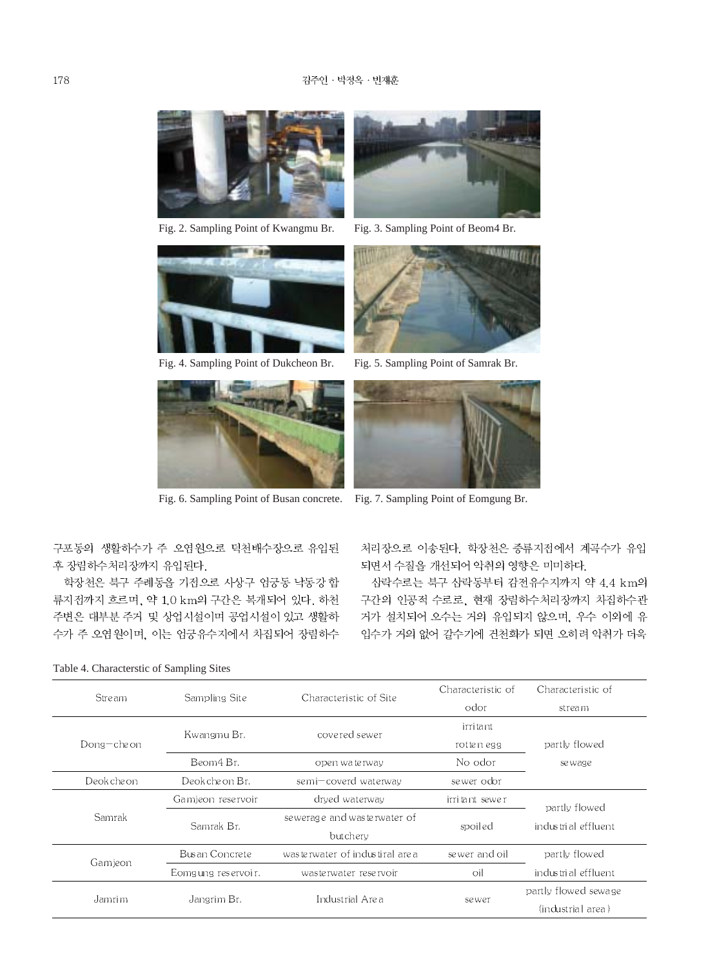

Fig. 2. Sampling Point of Kwangmu Br. Fig. 3. Sampling Point of Beom4 Br.









Fig. 4. Sampling Point of Dukcheon Br. Fig. 5. Sampling Point of Samrak Br.



Fig. 6. Sampling Point of Busan concrete. Fig. 7. Sampling Point of Eomgung Br.

구포동의 생활하수가 주 오염원으로 덕천배수장으로 유입된 후 장림하수처리장까지 유입된다.

학장천은 북구 주례동을 기점으로 사상구 엄궁동 낙동강 합 류지점까지 흐르며, 약 1.0 km의 구간은 복개되어 있다. 하천 주변은 대부분 주거 및 상업시설이며 공업시설이 있고 생활하 수가 주 오염원이며, 이는 엄궁유수지에서 차집되어 장림하수 처리장으로 이송된다. 학장천은 중류지점에서 계곡수가 유입 되면서 수질을 개선되어 악취의 영향은 미미하다.

삼락수로는 북구 삼락동부터 감전유수지까지 약 4.4 km의 구간의 인공적 수로로, 현재 장림하수처리장까지 차집하수관 거가 설치되어 오수는 거의 유입되지 않으며, 우수 이외에 유 입수가 거의 없어 갈수기에 건천화가 되면 오히려 악취가 더욱

|             | Sampling Site                          | Characteristic of Site         | Characteristic of | Characteristic of    |  |
|-------------|----------------------------------------|--------------------------------|-------------------|----------------------|--|
| Stre am     |                                        |                                | odor              | stream               |  |
|             | Kwangmu Br.                            | covered sewer                  | irri tant         |                      |  |
| Dong-cheon  |                                        |                                | rotten egg        | partly flowed        |  |
|             | Beom4 Br.<br>open wate rway            |                                | No odor           | se wage              |  |
| Deok che on | Deokche on Br.<br>semi-coverd waterway |                                | se wer odor       |                      |  |
|             | Gamieon reservoir                      | drved waterway                 | irritant sewer    | partly flowed        |  |
| Samrak      | Samrak Br.                             | sewerage and wasterwater of    | spoiled           | industrial effluent  |  |
|             |                                        | butchery                       |                   |                      |  |
| Gamieon     | Busan Concrete                         | wasterwater of industiral area | sewer and oil     | partly flowed        |  |
|             | Eomgung reservoir.                     | was te rwat er rese rvoir      | oil               | industrial effluent  |  |
|             | Jangrim Br.                            | Industrial Area                |                   | partly flowed sewage |  |
| Jamrim      |                                        |                                | sewer             | (industrial area)    |  |

Table 4. Characterstic of Sampling Sites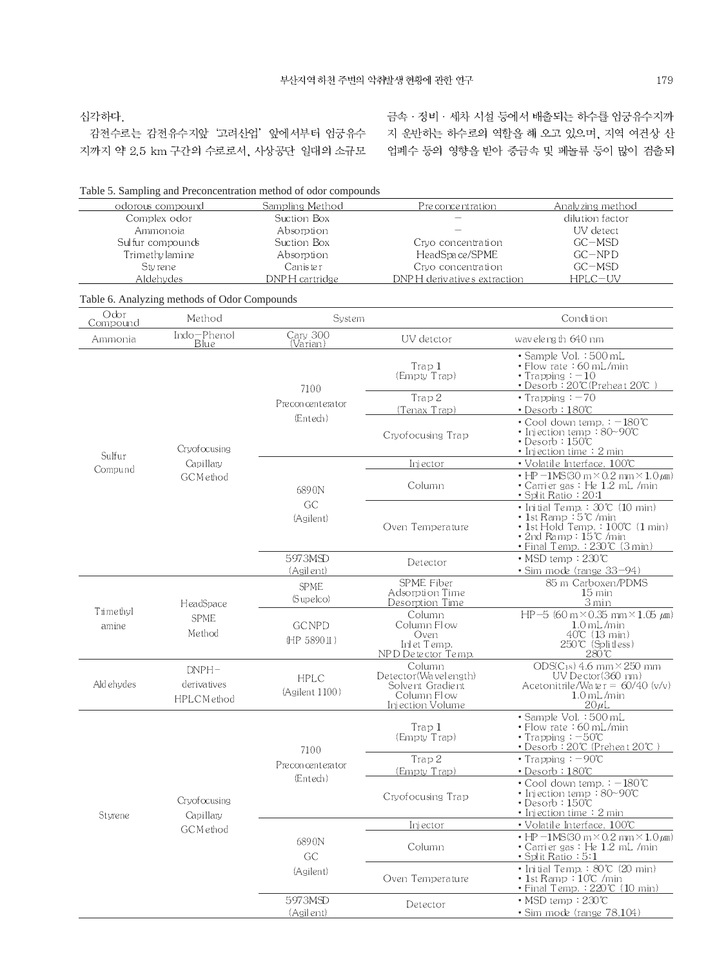심각하다.

감전수로는 감전유수지앞 '고려산업' 앞에서부터 엄궁유수 지까지 약 2.5 km 구간의 수로로서, 사상공단 일대의 소규모

금속 · 정비 · 세차 시설 등에서 배출되는 하수를 엄궁유수지까 지 운반하는 하수로의 역할을 해 오고 있으며, 지역 여건상 산 업폐수 등의 영향을 받아 중금속 및 페놀류 등이 많이 검출되

|                    |                                              | Table 5. Sampling and Preconcentration method of odor compounds |                                                                                       |                                                                                                                                                                        |
|--------------------|----------------------------------------------|-----------------------------------------------------------------|---------------------------------------------------------------------------------------|------------------------------------------------------------------------------------------------------------------------------------------------------------------------|
|                    | odorous compound                             | Sampling Method                                                 | Pre conce ntration                                                                    | Analyzing method                                                                                                                                                       |
|                    | Complex odor                                 | Suction Box                                                     |                                                                                       | dilution factor                                                                                                                                                        |
|                    | Ammonoia                                     | Absorption                                                      |                                                                                       | UV detect                                                                                                                                                              |
|                    | Sulfur compounds                             | Suction Box                                                     | Cryo concentration                                                                    | $GC - MSD$                                                                                                                                                             |
| Trimethy lamine    |                                              | Absorption                                                      | HeadSpace/SPME                                                                        | $GC-NPD$                                                                                                                                                               |
| Styrene            |                                              | Caniste r                                                       | Crvo concentration                                                                    | $GC - MSD$                                                                                                                                                             |
|                    | Aldehydes                                    | DNPH cartridge                                                  | DNPH derivatives extraction                                                           | $HPLC-UV$                                                                                                                                                              |
|                    | Table 6. Analyzing methods of Odor Compounds |                                                                 |                                                                                       |                                                                                                                                                                        |
| Odor<br>Compound   | Method                                       | System                                                          |                                                                                       | Condition                                                                                                                                                              |
| Ammonia            | Indo-Phenol<br>Blue                          | Cary 300<br>(Varian)                                            | UV detctor                                                                            | wavelength 640 nm                                                                                                                                                      |
|                    |                                              | 7100                                                            | Trap 1<br>(Empty Trap)                                                                | • Sample Vol. : 500 mL<br>• Flow rate : 60 mL/min<br>• Trapping $: -10$<br>• Desorb : 20°C (Preheat 20°C)                                                              |
|                    |                                              | Preconcenterator                                                | Trap 2                                                                                | • Trapping $: -70$                                                                                                                                                     |
|                    |                                              | (Entech)                                                        | (Tenax Trap)                                                                          | • Desorb: 180°C                                                                                                                                                        |
|                    | Cryofocusing                                 |                                                                 | Cryofocusing Trap                                                                     | $\cdot$ Cool down temp. $\div$ -180°C<br>• Injection temp: 80~90°C<br>• Desorb:150°C<br>• Injection time $: 2 \text{ min}$                                             |
| Sulfur             | Capillarv                                    |                                                                 | Injector                                                                              | • Volatile Interface, 100°C                                                                                                                                            |
| Compu nd           | GCMethod                                     | 6890N                                                           | Column                                                                                | $\cdot$ HP $-1$ MS(30 m $\times$ 0.2 mm $\times$ 1.0 $\mu$ m)<br>• Carrier gas : He 1.2 mL /min<br>· Split Ratio: 20:1                                                 |
|                    |                                              | GC<br>(Agilent)                                                 | Oven Temperature                                                                      | • Initial Temp. $: 30^{\circ}C$ (10 min)<br>• 1st Ramp ∶5℃ /min<br>• 1st Hold Temp. $:100\textdegree C$ (1 min)<br>• 2nd Ramp∶15℃ /min<br>· Final Temp.: 230°C_(3 min) |
|                    |                                              | 5973MSD<br>(Agilent)                                            | Detector                                                                              | $\bullet$ MSD temp : 230°C<br>• Sim mode (range 33-94)                                                                                                                 |
|                    |                                              | <b>SPME</b>                                                     | SPME Fiber                                                                            | 85 m Carboxen/PDMS                                                                                                                                                     |
| Trimethyl<br>amine | HeadSpace                                    | (Supelco)                                                       | Adsorption Time<br>Desorption Time                                                    | $15 \,\mathrm{min}$<br>3 min                                                                                                                                           |
|                    | <b>SPME</b><br>Method                        | <b>GCNPD</b><br>(HP 5890 II)                                    | Column<br>Column Flow<br>Oven<br>Inlet Temp.<br>NPD Detector Temp.                    | HP-5 (60 m $\times$ 0.35 mm $\times$ 1.05 $\mu$ m)<br>$1.0$ mL/min<br>$40^{\circ}$ (13 min)<br>250℃ (Splitless)<br>280℃                                                |
| Aldehydes          | $DNPH-$<br>derivatives<br>HPLCM ethod        | <b>HPLC</b><br>(Agilent 1100)                                   | Column<br>Detector(Wavelength)<br>Solvent Gradient<br>Column Flow<br>Injection Volume | $ODS(C_{18})$ 4.6 mm $\times$ 250 mm<br>$UV$ Dector $(360 \text{ nm})$<br>Acetonitrile/Water = $60/40$ (v/v)<br>$1.0$ mL/min<br>$20 \mu L$                             |
|                    |                                              |                                                                 | Trap 1<br>(Empty Trap)                                                                | • Sample Vol. : 500 mL<br>• Flow rate : 60 mL/min<br>$\cdot$ Trapping: $-50^{\circ}$ C<br>• Desorb∶20℃ (Preheat 20℃ )                                                  |
|                    |                                              | 7100<br>Preconcenterator                                        | Trap 2                                                                                | $\cdot$ Trapping : $-90^{\circ}$ C                                                                                                                                     |
|                    |                                              | (Entech)                                                        | (Empty Trap)                                                                          | $\bullet$ Desorb: 180°C                                                                                                                                                |
| Styrene            | Crvofocusing<br>Capillary                    |                                                                 | Cryofocusing Trap                                                                     | • Cool down temp. : $-180^\circ$ C<br>• Injection temp:80~90℃<br>• Desorb:150℃<br>• Injection time $: 2 \text{ min}$                                                   |
|                    | GCMethod                                     |                                                                 | Injector                                                                              | $\bullet$ Volatile Interface, $100\text{°C}$                                                                                                                           |
|                    |                                              | 6890N<br>GC                                                     | Column                                                                                | $\cdot$ HP $-1$ MS(30 m $\times$ 0.2 mm $\times$ 1.0 $\mu$ m)<br>• Carrier gas: He 1.2 mL /min<br>• Split Ratio:5:1                                                    |
|                    |                                              | (Agilent)                                                       | Oven Temperature                                                                      | • Initial Temp. : $80^{\circ}$ (20 min)<br>$\bullet$ 1st Ramp : 10°C /min<br>• Final Temp. : 220℃ (10 min)                                                             |
|                    |                                              | 5973MSD<br>(Agilent)                                            | Detector                                                                              | $\cdot$ MSD temp: $230^{\circ}$ C<br>• Sim mode (range 78,104)                                                                                                         |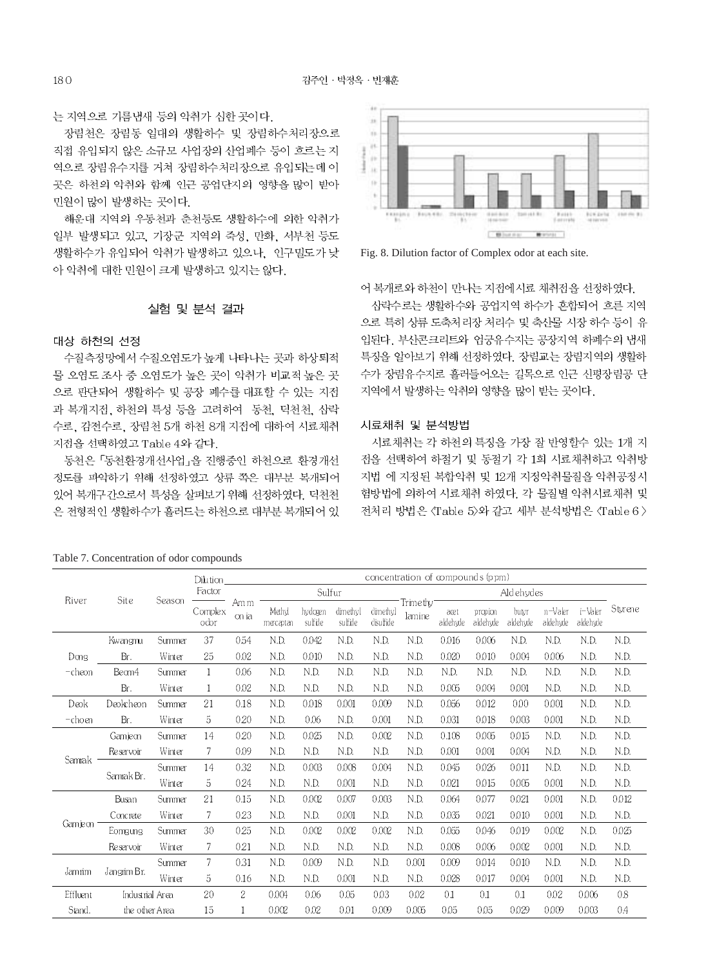u.

는 지역으로 기름냄새 등의 악취가 심한 곳이다.

장림천은 장림동 일대의 생활하수 및 장림하수처리장으로 직접 유입되지 않은 소규모 사업장의 산업폐수 등이 흐르는 지 역으로 장림유수지를 거쳐 장림하수처리장으로 유입되는데 이 곳은 하천의 악취와 함께 인근 공업단지의 영향을 많이 받아 민원이 많이 발생하는 곳이다.

해운대 지역의 우동천과 춘천등도 생활하수에 의한 악취가 일부 발생되고 있고, 기장군 지역의 죽성, 만화, 서부천 등도 생활하수가 유입되어 악취가 발생하고 있으나, 인구밀도가 낮 아 악취에 대한 민원이 크게 발생하고 있지는 않다.

### 실험 및 분석 결과

#### 대상 하천의 선정

수질측정망에서 수질오염도가 높게 나타나는 곳과 하상퇴적 물 오염도 조사 중 오염도가 높은 곳이 악취가 비교적 높은 곳 으로 판단되어 생활하수 및 공장 폐수를 대표할 수 있는 지점 과 복개지접, 하천의 특성 등을 고려하여 동천, 덕천천, 삼락 수로, 감전수로, 장림천 5개 하천 8개 지전에 대하여 시료채취 지점을 선택하였고 Table 4와 같다.

동천은 「동천환경개선사업」을 진행중인 하천으로 환경개선 정도를 파악하기 위해 선정하였고 상류 쪽은 대부분 복개되어 있어 복개구간으로서 특성을 살펴보기 위해 선정하였다. 덕천천 은 전형적인 생활하수가 흘러드는 하천으로 대부분 복개되어 있

#### ÷. W V, ¥, **Ja**  $\alpha$  $24 + 64$  $\frac{1}{2}$  $164 (9.66)$  $\begin{array}{c} 0 \leq i \leq 1 \\ 1 \leq i \leq i+1 \end{array}$ C. Million Ave., C. Montage 1

Fig. 8. Dilution factor of Complex odor at each site.

어 복개로와 하천이 만나는 지점에시료 채취점을 선정하였다.

삼락수로는 생활하수와 공업지역 하수가 혼합되어 흐른 지역 으로 특히 상류 도축처리장 처리수 및 축산물 시장 하수 등이 유 입된다. 부산콘크리트와 엄궁유수지는 공장지역 하폐수의 냄새 특징을 알아보기 위해 선정하였다. 장림교는 장림지역의 생활하 수가 장림유수지로 흘러들어오는 길목으로 인근 신평장림공 단 지역에서 발생하는 악취의 영향을 많이 받는 곳이다.

#### 시료채취 및 분석방법

시료채취는 각 하천의 특징을 가장 잘 반영할수 있는 1개 지 점을 선택하여 하절기 및 동절기 각 1회 시료채취하고 악취방 지법 에 지정된 복합악취 및 12개 지정악취물질을 악취공정시 험방법에 의하여 시료채취 하였다. 각 물질별 악취시료채취 및 전처리 방법은 〈Table 5〉와 같고 세부 분석방법은 〈Table 6 >

|               |                 |                 | Dilution                 | concentration of compounds (ppm) |                    |                     |                       |                                 |                 |                     |                   |                     |                     |         |       |
|---------------|-----------------|-----------------|--------------------------|----------------------------------|--------------------|---------------------|-----------------------|---------------------------------|-----------------|---------------------|-------------------|---------------------|---------------------|---------|-------|
|               |                 |                 | Factor                   |                                  |                    |                     | Sulfur                |                                 |                 | Aldehydes           |                   |                     |                     |         |       |
| Site<br>River | Season          | Complex<br>odor | Am <sub>m</sub><br>on ia | Mahyl<br>macaptan                | hydogen<br>sulfide | dinethyl<br>sulfide | dinethyl<br>disulfide | Trimethy <sup>-</sup><br>lamine | aœt<br>aldehyde | propion<br>aldehyde | butyr<br>aldehyde | n-Valer<br>aldehyde | i-Valer<br>aldehyde | Stvrene |       |
|               | Kwangmu         | Summer          | 37                       | 054                              | N.D.               | 0.042               | N.D.                  | N.D.                            | N.D.            | 0.016               | 0.006             | N.D.                | N.D.                | N.D.    | N.D.  |
| Dong          | Br.             | Winter          | 25                       | 0.02                             | N.D.               | 0.010               | N.D.                  | N.D.                            | N.D.            | 0.020               | 0.010             | 0.004               | 0006                | N.D.    | N.D.  |
| -cheon        | Bean4           | Summer          | $\mathbf{1}$             | 0.06                             | N.D.               | N.D.                | N.D.                  | N.D.                            | N.D.            | N.D.                | N.D.              | N.D.                | N.D.                | N.D.    | N.D.  |
|               | Br.             | Winter          | 1                        | 0.02                             | N.D.               | N.D.                | N.D.                  | N.D.                            | N.D.            | 0.005               | 0.004             | 0.001               | N.D.                | N.D.    | N.D.  |
| Deok          | Deokcheon       | Summer          | 21                       | 0.18                             | N.D.               | 0.018               | 0.001                 | 0.009                           | N.D.            | 0.056               | 0.012             | 0.00 <sub>0</sub>   | 0001                | N.D.    | N.D.  |
| -choen        | Br.             | Winter          | 5                        | 020                              | N.D.               | 0.06                | N.D.                  | 0.001                           | N.D.            | 0.031               | 0.018             | 0.003               | 0001                | N.D.    | N.D.  |
|               | Gamieon         | Summer          | 14                       | 020                              | N.D.               | 0025                | N.D.                  | 0.002                           | N.D.            | 0.108               | 0.005             | 0.015               | N.D.                | N.D.    | N.D.  |
|               | Reservoir       | Winter          | 7                        | 0.09                             | N.D.               | N.D.                | N.D.                  | N.D.                            | N.D.            | 0.001               | 0.001             | 0.004               | N.D.                | N.D.    | N.D.  |
| Samrak        |                 | Summer          | 14                       | 0.32                             | N.D.               | 0003                | 0.008                 | 0.004                           | N.D.            | 0.045               | 0.026             | 0.011               | N.D.                | N.D.    | N.D.  |
| Samrak Br.    |                 | Winter          | 5                        | 024                              | N.D.               | N.D.                | 0.001                 | N.D.                            | N.D.            | 0.021               | 0.015             | 0.005               | 0001                | N.D.    | N.D.  |
|               | Busan           | Summer          | 21                       | 0.15                             | N.D.               | 0.002               | 0.007                 | 0.003                           | N.D.            | 0.064               | 0.077             | 0.021               | 0001                | N.D.    | 0.012 |
|               | Concrete        | Winter          | 7                        | 023                              | N.D.               | N.D.                | 0.001                 | N.D.                            | N.D.            | 0.035               | 0.021             | 0.010               | 0001                | N.D.    | N.D.  |
| Gamieon       | Eomgung         | Summer          | 30                       | 025                              | N.D.               | 0.002               | 0.002                 | 0.002                           | N.D.            | 0.055               | 0.046             | 0.019               | 0.002               | N.D.    | 0.025 |
|               | Reservoir       | Winter          | 7                        | 021                              | N.D.               | N.D.                | N.D.                  | N.D.                            | N.D.            | 0.008               | 0.006             | 0.002               | 0001                | N.D.    | N.D.  |
|               |                 | Summer          | $\overline{7}$           | 0.31                             | N.D.               | 0.009               | N.D.                  | N.D.                            | 0.001           | 0.009               | 0.014             | 0.010               | N.D.                | N.D.    | N.D.  |
| Jamim         | Jangrim Br.     | Winter          | 5                        | 0.16                             | N.D.               | N.D.                | 0.001                 | N.D.                            | N.D.            | 0.028               | 0.017             | 0.004               | 0001                | N.D.    | N.D.  |
| Effluent      | Industrial Area |                 | 20                       | $\overline{2}$                   | 0.004              | 0.06                | 0.05                  | 0.03                            | 0.02            | 0.1                 | 0.1               | 0.1                 | 0.02                | 0.006   | 08    |
| Stand.        | the other Area  |                 | 15                       |                                  | 0.002              | 0.02                | 0 <sub>01</sub>       | 0.009                           | 0.005           | 0.05                | 0.05              | 0.029               | 0.009               | 0.003   | 04    |

#### Table 7. Concentration of odor compounds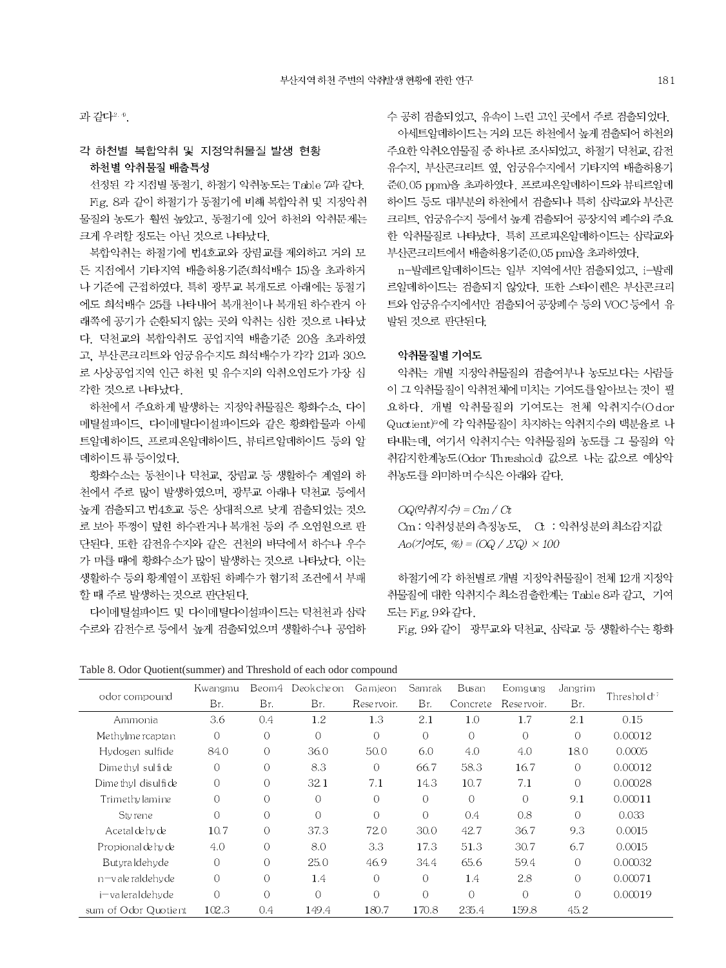과 같다2.0.

# 각 하천별 복합악취 및 지정악취물질 발생 현황 하천별 악취물질 배출특성

선정된 각 지접별 동절기, 하절기 악취농도는 Table 7과 같다. Fig. 8과 같이 하절기가 동절기에 비해 복합악취 및 지정악취 물질의 농도가 훨씬 높았고, 동절기에 있어 하천의 악취문제는 크게 우려할 정도는 아닌 것으로 나타났다.

복합악취는 하절기에 번4호교와 장림교를 제외하고 거의 모 든 지점에서 기타지역 배출허용기준(회석배수 15)을 초과하거 나 기준에 근접하였다. 특히 광무교 복개도로 아래에는 동절기 에도 희석배수 25를 나타내어 복개천이나 복개된 하수관거 아 래쪽에 공기가 순환되지 않는 곳의 악취는 심한 것으로 나타났 다. 덕천교의 복합악취도 공업지역 배출기준 20을 초과하였 고, 부산콘크리트와 엄궁유수지도 희석배수가 각각 21과 30으 로 사상공업지역 인근 하천 및 유수지의 악취오염도가 가장 심 각한 것으로 나타났다.

하천에서 주요하게 발생하는 지정악취물질은 황화수소, 다이 메틸설파이드, 다이메틸다이설파이드와 같은 황화합물과 아세 트알데하이드, 프로피온알데하이드, 뷰티르알데하이드 등의 알 데하이드류 등이었다.

황화수소는 동천이나 덕천교, 장림교 등 생활하수 계열의 하 천에서 주로 많이 발생하였으며, 광무교 아래나 덕천교 등에서 높게 검출되고 번4호교 등은 상대적으로 낮게 검출되었는 것으 로 보아 뚜껑이 덮힌 하수관거나 복개천 등의 주 오염원으로 판 단된다. 또한 감전유수지와 같은 건천의 바닥에서 하수나 우수 가 마를 때에 황화수소가 많이 발생하는 것으로 나타났다. 이는 생활하수 등의 황계열이 포함된 하폐수가 혐기적 조건에서 부패 할 때 주로 발생하는 것으로 판단된다.

다이메틸설파이드 및 다이메틸다이설파이드는 덕천천과 삼락 수로와 감전수로 등에서 높게 검출되었으며 생활하수나 공업하 수 공히 검출되었고, 유속이 느린 고인 곳에서 주로 검출되었다. 아세트알데하이드는 거의 모든 하천에서 높게 검출되어 하천의 주요한 악취오염물질 중 하나로 조사되었고, 하절기 덕천교, 감전 유수지, 부산콘크리트 옆, 엄궁유수지에서 기타지역 배출허용기 준(0.05 ppm)을 초과하였다. 프로피온알데하이드와 뷰티르알데 하이드 등도 대부분의 하천에서 검출되나 특히 삼락교와 부산콘 크리트, 엄궁유수지 등에서 높게 검출되어 공장지역 폐수의 주요 한 악취물질로 나타났다. 특히 프로피온알데하이드는 삼락교와 부산콘크리트에서 배출허용기준(0.05 pm)을 초과하였다.

n-발레르알데하이드는 일부 지역에서만 검출되었고. i-발레 르알데하이드는 검출되지 않았다. 또한 스타이렌은 부산콘크리 트와 엄궁유수지에서만 검출되어 공장폐수 등의 VOC 등에서 유 발된 것으로 판단된다.

### 악취물질별 기여도

악취는 개별 지정악취물질의 검출여부나 농도보다는 사람들 이 그 악취물질이 악취전체에 미치는 기여도를 알아보는 것이 필 요하다. 개별 악취물질의 기여도는 전체 악취지수(Odor Quotient)<sup>9</sup>에 각 악취물질이 차지하는 악취지수의 백분율로 나 타내는데, 여기서 악취지수는 악취물질의 농도를 그 물질의 악 취감지한계농도(Odor Threshold) 값으로 나눈 값으로 예상악 취농도를 의미하며 수식은 아래와 같다.

 $OQ(2\epsilon\vec{r} - \vec{r}) = Cm / Ct$ Cm : 악취성분의 측정농도, Ct : 악취성분의 최소감지값  $Ao(7)$ 여도, %) =  $(OQ / \Sigma Q) \times 100$ 

하절기에 각 하천별로 개별 지정악취물질이 전체 12개 지정악 취물질에 대한 악취지수 최소검출한계는 Table 8과 같고, 기여 도는 Fig. 9와 같다.

Fig. 9와 같이 광무교와 덕천교, 삼락교 등 생활하수는 황화

Table 8. Odor Quotient(summer) and Threshold of each odor compound

|                      | Kwangmu  | Beom4          | Deokcheon      | Gamjeon        | Samrak    | Busan    | Eomgung    | Jangrim  |                         |
|----------------------|----------|----------------|----------------|----------------|-----------|----------|------------|----------|-------------------------|
| odor compound        | Br.      | Br.            | Br.            | Reservoir.     | Br.       | Concrete | Reservoir. | Br.      | Threshold <sup>17</sup> |
| Ammonia              | 3.6      | 0.4            | 1.2            | 1.3            | 2.1       | 1.0      | 1.7        | 2.1      | 0.15                    |
| Methylme roaptan     | $\Omega$ | $\bigcap$      | $\overline{0}$ | $\Omega$       | $\bigcap$ | $\Omega$ | $\circ$    | $\Omega$ | 0.00012                 |
| Hydogen sulfide      | 84.0     | $\Omega$       | 36.0           | 50.0           | 6.0       | 4.0      | 4.0        | 18.0     | 0.0005                  |
| Dime thyl sulfide    | $\Omega$ | $\Omega$       | 8.3            | $\Omega$       | 66.7      | 58.3     | 16.7       | 0        | 0.00012                 |
| Dime thyl disulfide  | $\circ$  | $\overline{0}$ | 32.1           | 7.1            | 14.3      | 10.7     | 7.1        | $\Omega$ | 0.00028                 |
| Trimethy lamine      | $\Omega$ | $\overline{O}$ | $\overline{O}$ | $\Omega$       | $\Omega$  | $\Omega$ | $\Omega$   | 9.1      | 0.00011                 |
| Styrene              | $\Omega$ | $\overline{O}$ | $\overline{O}$ | $\overline{O}$ | $\Omega$  | 0.4      | 0.8        | $\Omega$ | 0.033                   |
| Acetal de hy de      | 10.7     | $\Omega$       | 37.3           | 72.0           | 30.0      | 42.7     | 36.7       | 9.3      | 0.0015                  |
| Propional de hy de   | 4.0      | $\Omega$       | 8.0            | 3.3            | 17.3      | 51.3     | 30.7       | 6.7      | 0.0015                  |
| Butvraldehyde        | $\Omega$ | $\Omega$       | 25.0           | 46.9           | 34.4      | 65.6     | 59.4       | $\Omega$ | 0.00032                 |
| n-valeraldehyde      | $\Omega$ | $\bigcap$      | 1.4            | $\Omega$       | $\Omega$  | 1.4      | 2.8        | $\Omega$ | 0.00071                 |
| i-valeraldehyde      | $\Omega$ | $\Omega$       | $\overline{O}$ | $\Omega$       | $\Omega$  | $\Omega$ | $\Omega$   | $\Omega$ | 0.00019                 |
| sum of Odor Quotient | 102.3    | 0.4            | 149.4          | 180.7          | 170.8     | 235.4    | 159.8      | 45.2     |                         |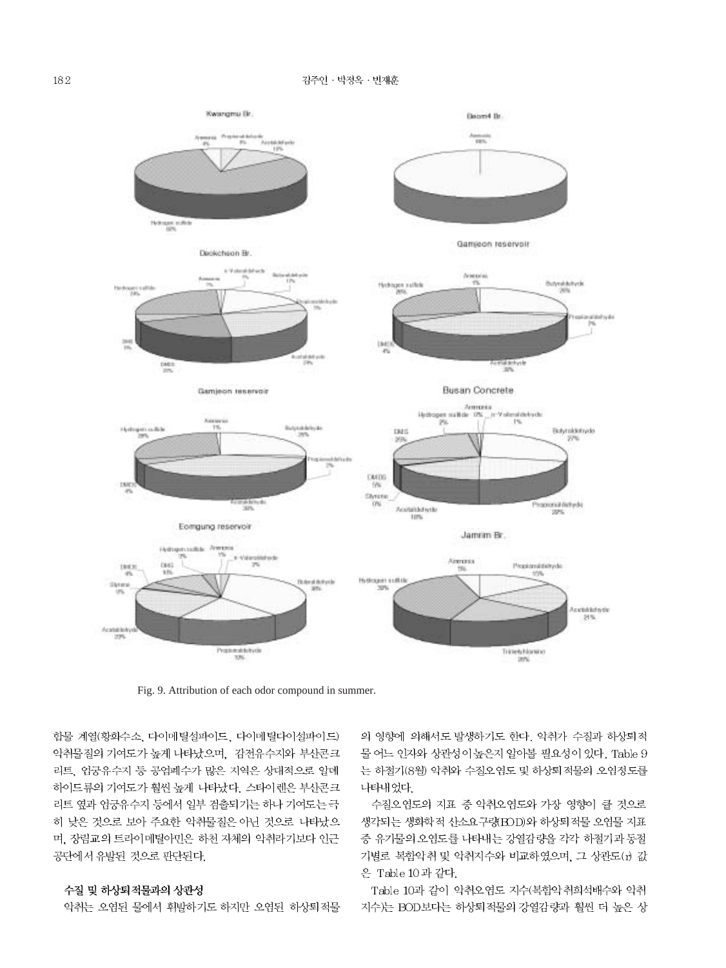

Fig. 9. Attribution of each odor compound in summer.

합물 계열(황화수소, 다이메틸설파이드, 다이메틸다이설파이드) 악취물질의 기여도가 높게 나타났으며, 감전유수지와 부산콘크 리트, 엄궁유수지 등 공업폐수가 많은 지역은 상대적으로 알데 하이드류의 기여도가 훨씬 높게 나타났다. 스타이렌은 부산콘크 리트 옆과 엄궁유수지 등에서 일부 검출되기는 하나 기여도는 극 히 낮은 것으로 보아 주요한 악취물질은 아닌 것으로 나타났으 며, 장림교의 트라이메틸아민은 하천 자체의 악취라기보다 인근 공단에서 유발된 것으로 판단된다.

### 수질 및 하상퇴적물과의 상관성

악취는 오염된 물에서 휘발하기도 하지만 오염된 하상퇴적물

의 영향에 의해서도 발생하기도 한다. 악취가 수질과 하상퇴적 물 어느 인자와 상관성이 높은지 알아볼 필요성이 있다. Table 9 는 하절기(8월) 악취와 수질오염도 및 하상퇴적물의 오염정도를 나타내었다.

수질오염도의 지표 중 악취오염도와 가장 영향이 클 것으로 생각되는 생화학적 산소요구량 EOD)와 하상퇴적물 오염물 지표 중 유기물의 오염도를 나타내는 강열감량을 각각 하절기과 동절 기별로 복합악취 및 악취지수와 비교하였으며, 그 상관도(r) 값 은 Table 10 과 같다.

Table 10과 같이 악취오염도 지수(복합악취회석배수와 악취 지수)는 BOD보다는 하상퇴적물의 강열감량과 훨씬 더 높은 상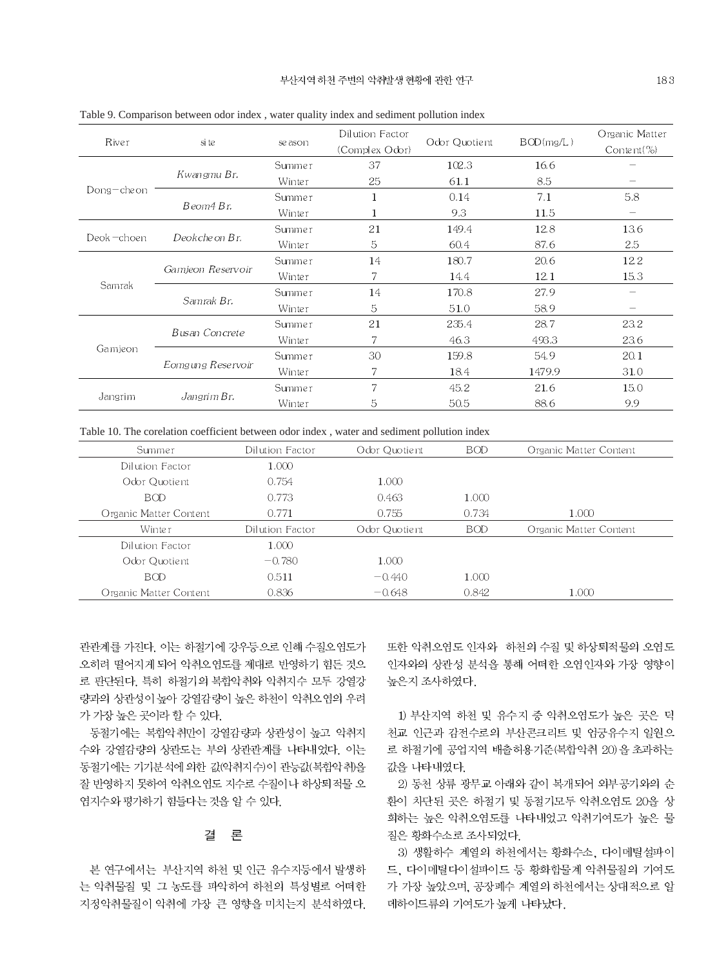| River       | si te             | se ason | Dilution Factor<br>(Complex Odor) | Odor Quotient | BOD(mg/L) | Organic Matter<br>Content $(\%)$ |
|-------------|-------------------|---------|-----------------------------------|---------------|-----------|----------------------------------|
|             |                   | Summer  | 37                                | 102.3         | 16.6      |                                  |
|             | Kwangmu Br.       | Winter  | 25                                | 61.1          | 8.5       |                                  |
| Dong-che on |                   | Summer  | 1                                 | 0.14          | 7.1       | 5.8                              |
|             | Beom4 Br.         | Winter  | 1                                 | 9.3           | 11.5      |                                  |
| Deok-choen  |                   | Summer  | 21                                | 149.4         | 12.8      | 13.6                             |
|             | Deokche on Br.    | Winter  | 5                                 | 60.4          | 87.6      | 2.5                              |
|             | Gamieon Reservoir | Summer  | 14                                | 180.7         | 20.6      | 12.2                             |
|             |                   | Winter  | 7.                                | 14.4          | 12.1      | 15.3                             |
| Samrak      | Samrak Br.        | Summer  | 14                                | 170.8         | 27.9      |                                  |
|             |                   | Winter  | 5                                 | 51.0          | 58.9      | $\hspace{0.1mm}-\hspace{0.1mm}$  |
| Gamjeon     |                   | Summer  | 21                                | 235.4         | 28.7      | 23.2                             |
|             | Busan Concrete    | Winter  | 7                                 | 46.3          | 493.3     | 23.6                             |
|             |                   | Summer  | 30                                | 159.8         | 54.9      | 20.1                             |
|             | Eomgung Reservoir | Winter  | 7                                 | 18.4          | 1479.9    | 31.0                             |
|             |                   | Summer  | 7                                 | 45.2          | 21.6      | 15.0                             |
| Jangrim     | Jangrim Br.       | Winter  | 5                                 | 50.5          | 88.6      | 9.9                              |

Table 9. Comparison between odor index, water quality index and sediment pollution index

Table 10. The corelation coefficient between odor index, water and sediment pollution index

| Summer                 | Dilution Factor | Odor Quotient | <b>BOD</b> | Organic Matter Content |
|------------------------|-----------------|---------------|------------|------------------------|
| Dilution Factor        | 1.000           |               |            |                        |
| Odor Quotient          | 0.754           | 1.000         |            |                        |
| <b>BOD</b>             | 0.773           | 0.463         | 1.000      |                        |
| Organic Matter Content | 0.771           | 0.755         | 0.734      | 1.000                  |
| Winter                 | Dilution Factor | Odor Quotient | <b>BOD</b> | Organic Matter Content |
| Dilution Factor        | 1.000           |               |            |                        |
| Odor Quotient          | $-0.780$        | 1.000         |            |                        |
| <b>BOD</b>             | 0.511           | $-0.440$      | 1.000      |                        |
| Organic Matter Content | 0.836           | $-0.648$      | 0.842      | 1.000                  |

관관계를 가진다. 이는 하절기에 강우등으로 인해 수질오염도가 오히려 떨어지게 되어 악취오염도를 제대로 반영하기 힘든 것으 로 판단된다. 특히 하절기의 복합악취와 악취지수 모두 강열강 량과의 상관성이 높아 강열감량이 높은 하천이 악취오염의 우려 가 가장 높은 곳이라 할 수 있다.

동절기에는 복합악취만이 강열감량과 상관성이 높고 악취지 수와 강열감량의 상관도는 부의 상관관계를 나타내었다. 이는 동절기에는 기기분석에 의한 값(악취지수)이 관능값(복합악취)을 잘 반영하지 못하여 악취오염도 지수로 수질이나 하상퇴적물 오 염지수와 평가하기 힘들다는 것을 알 수 있다.

#### 呈 결

본 연구에서는 부산지역 하천 및 인근 유수지등에서 발생하 는 악취물질 및 그 농도를 파악하여 하천의 특성별로 어떠한 지정악취물질이 악취에 가장 큰 영향을 미치는지 분석하였다. 또한 악취오염도 인자와 하천의 수질 및 하상퇴적물의 오염도 인자와의 상관성 분석을 통해 어떠한 오염인자와 가장 영향이 높은지 조사하였다.

1) 부산지역 하천 및 유수지 중 악취오염도가 높은 곳은 덕 천교 인근과 감전수로의 부산콘크리트 및 엄궁유수지 일원으 로 하절기에 공업지역 배출허용기준(복합악취 20)을 초과하는 값을 나타내였다.

2) 동천 상류 광무교 아래와 같이 복개되어 외부공기와의 순 환이 차단된 곳은 하절기 및 동절기모두 악취오염도 20을 상 회하는 높은 악취오염도를 나타내었고 악취기여도가 높은 물 질은 황화수소로 조사되었다.

3) 생활하수 계열의 하천에서는 황화수소, 다이메틸설파이 드, 다이메틸다이설파이드 등 황화합물계 악취물질의 기여도 가 가장 높았으며, 공장폐수 계열의 하천에서는 상대적으로 알 데하이드류의 기여도가 높게 나타났다.